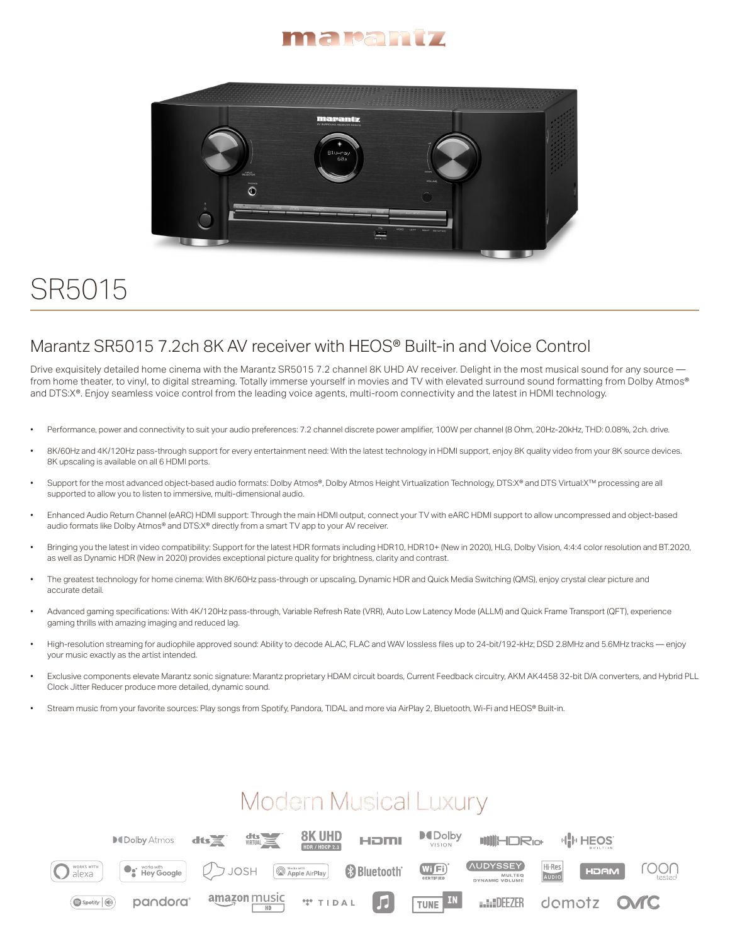



## SR5015

## Marantz SR5015 7.2ch 8K AV receiver with HEOS® Built-in and Voice Control

Drive exquisitely detailed home cinema with the Marantz SR5015 7.2 channel 8K UHD AV receiver. Delight in the most musical sound for any source from home theater, to vinyl, to digital streaming. Totally immerse yourself in movies and TV with elevated surround sound formatting from Dolby Atmos® and DTS:X®. Enjoy seamless voice control from the leading voice agents, multi-room connectivity and the latest in HDMI technology.

- Performance, power and connectivity to suit your audio preferences: 7.2 channel discrete power amplifier, 100W per channel (8 Ohm, 20Hz-20kHz, THD: 0.08%, 2ch. drive.
- 8K/60Hz and 4K/120Hz pass-through support for every entertainment need: With the latest technology in HDMI support, enjoy 8K quality video from your 8K source devices. 8K upscaling is available on all 6 HDMI ports.
- Support for the most advanced object-based audio formats: Dolby Atmos®, Dolby Atmos Height Virtualization Technology, DTS:X® and DTS Virtual:X™ processing are all supported to allow you to listen to immersive, multi-dimensional audio.
- Enhanced Audio Return Channel (eARC) HDMI support: Through the main HDMI output, connect your TV with eARC HDMI support to allow uncompressed and object-based audio formats like Dolby Atmos® and DTS:X® directly from a smart TV app to your AV receiver.
- Bringing you the latest in video compatibility: Support for the latest HDR formats including HDR10, HDR10+ (New in 2020), HLG, Dolby Vision, 4:4:4 color resolution and BT.2020, as well as Dynamic HDR (New in 2020) provides exceptional picture quality for brightness, clarity and contrast.
- The greatest technology for home cinema: With 8K/60Hz pass-through or upscaling, Dynamic HDR and Quick Media Switching (QMS), enjoy crystal clear picture and accurate detail.
- Advanced gaming specifications: With 4K/120Hz pass-through, Variable Refresh Rate (VRR), Auto Low Latency Mode (ALLM) and Quick Frame Transport (QFT), experience gaming thrills with amazing imaging and reduced lag.
- High-resolution streaming for audiophile approved sound: Ability to decode ALAC, FLAC and WAV lossless files up to 24-bit/192-kHz; DSD 2.8MHz and 5.6MHz tracks enjoy your music exactly as the artist intended.
- Exclusive components elevate Marantz sonic signature: Marantz proprietary HDAM circuit boards, Current Feedback circuitry, AKM AK4458 32-bit D/A converters, and Hybrid PLL Clock Jitter Reducer produce more detailed, dynamic sound.
- Stream music from your favorite sources: Play songs from Spotify, Pandora, TIDAL and more via AirPlay 2, Bluetooth, Wi-Fi and HEOS® Built-in.

## **Modern Musical Luxury**